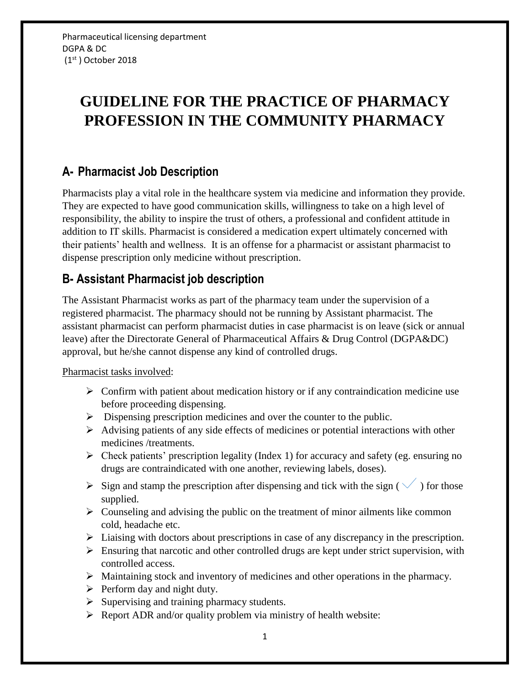# **GUIDELINE FOR THE PRACTICE OF PHARMACY PROFESSION IN THE COMMUNITY PHARMACY**

### **A- Pharmacist Job Description**

Pharmacists play a vital role in the healthcare system via medicine and information they provide. They are expected to have good communication skills, willingness to take on a high level of responsibility, the ability to inspire the trust of others, a professional and confident attitude in addition to IT skills. Pharmacist is considered a medication expert ultimately concerned with their patients' health and wellness. It is an offense for a pharmacist or assistant pharmacist to dispense prescription only medicine without prescription.

### **B- Assistant Pharmacist job description**

The Assistant Pharmacist works as part of the pharmacy team under the supervision of a registered pharmacist. The pharmacy should not be running by Assistant pharmacist. The assistant pharmacist can perform pharmacist duties in case pharmacist is on leave (sick or annual leave) after the Directorate General of Pharmaceutical Affairs & Drug Control (DGPA&DC) approval, but he/she cannot dispense any kind of controlled drugs.

#### Pharmacist tasks involved:

- $\triangleright$  Confirm with patient about medication history or if any contraindication medicine use before proceeding dispensing.
- $\triangleright$  Dispensing prescription medicines and over the counter to the public.
- $\triangleright$  Advising patients of any side effects of medicines or potential interactions with other medicines /treatments.
- $\triangleright$  Check patients' prescription legality (Index 1) for accuracy and safety (eg. ensuring no drugs are contraindicated with one another, reviewing labels, doses).
- $\triangleright$  Sign and stamp the prescription after dispensing and tick with the sign (  $\checkmark$  ) for those supplied.
- $\triangleright$  Counseling and advising the public on the treatment of minor ailments like common cold, headache etc.
- Liaising with doctors about prescriptions in case of any discrepancy in the prescription.
- $\triangleright$  Ensuring that narcotic and other controlled drugs are kept under strict supervision, with controlled access.
- Maintaining stock and inventory of medicines and other operations in the pharmacy.
- $\triangleright$  Perform day and night duty.
- $\triangleright$  Supervising and training pharmacy students.
- $\triangleright$  Report ADR and/or quality problem via ministry of health website: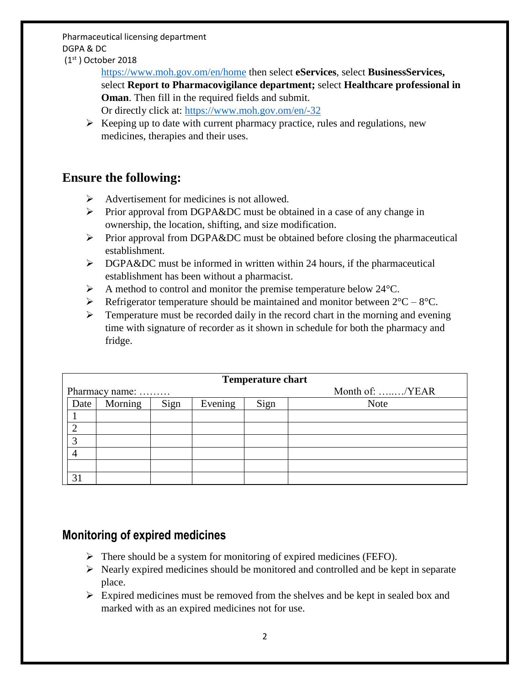Pharmaceutical licensing department DGPA & DC

(1 st ) October 2018

<https://www.moh.gov.om/en/home> then select **eServices**, select **BusinessServices,** select **Report to Pharmacovigilance department;** select **Healthcare professional in Oman**. Then fill in the required fields and submit. Or directly click at:<https://www.moh.gov.om/en/-32>

 $\triangleright$  Keeping up to date with current pharmacy practice, rules and regulations, new medicines, therapies and their uses.

#### **Ensure the following:**

- $\triangleright$  Advertisement for medicines is not allowed.
- $\triangleright$  Prior approval from DGPA&DC must be obtained in a case of any change in ownership, the location, shifting, and size modification.
- $\triangleright$  Prior approval from DGPA&DC must be obtained before closing the pharmaceutical establishment.
- $\triangleright$  DGPA&DC must be informed in written within 24 hours, if the pharmaceutical establishment has been without a pharmacist.
- $\triangleright$  A method to control and monitor the premise temperature below 24 °C.
- Refrigerator temperature should be maintained and monitor between  $2^{\circ}C 8^{\circ}C$ .
- $\triangleright$  Temperature must be recorded daily in the record chart in the morning and evening time with signature of recorder as it shown in schedule for both the pharmacy and fridge.

| <b>Temperature chart</b> |         |      |         |      |                 |
|--------------------------|---------|------|---------|------|-----------------|
| Pharmacy name:           |         |      |         |      | Month of: /YEAR |
| Date                     | Morning | Sign | Evening | Sign | <b>Note</b>     |
|                          |         |      |         |      |                 |
| $\overline{2}$           |         |      |         |      |                 |
| 3                        |         |      |         |      |                 |
|                          |         |      |         |      |                 |
|                          |         |      |         |      |                 |
| 31                       |         |      |         |      |                 |

### **Monitoring of expired medicines**

- $\triangleright$  There should be a system for monitoring of expired medicines (FEFO).
- $\triangleright$  Nearly expired medicines should be monitored and controlled and be kept in separate place.
- $\triangleright$  Expired medicines must be removed from the shelves and be kept in sealed box and marked with as an expired medicines not for use.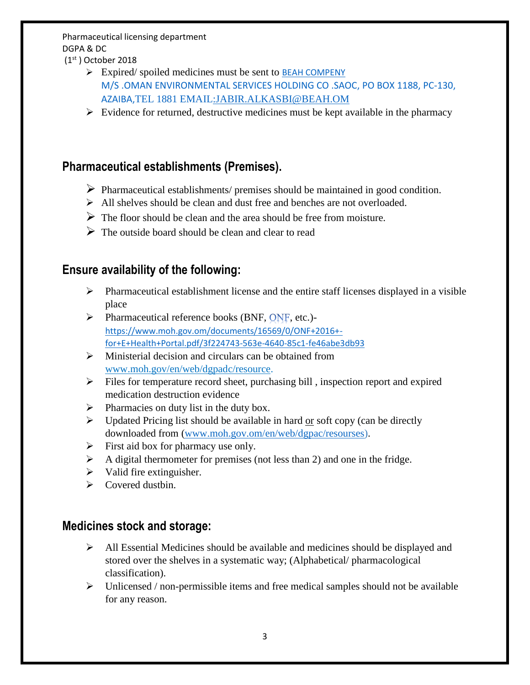#### Pharmaceutical licensing department DGPA & DC

(1 st ) October 2018

- $\triangleright$  Expired/ spoiled medicines must be sent to BEAH COMPENY M/S .OMAN ENVIRONMENTAL SERVICES HOLDING CO .SAOC, PO BOX 1188, PC-130, AZAIBA,TEL 1881 EMAIL:JABIR.ALKASBI@BEAH.OM
- $\triangleright$  Evidence for returned, destructive medicines must be kept available in the pharmacy

### **Pharmaceutical establishments (Premises).**

- $\triangleright$  Pharmaceutical establishments/ premises should be maintained in good condition.
- $\triangleright$  All shelves should be clean and dust free and benches are not overloaded.
- $\triangleright$  The floor should be clean and the area should be free from moisture.
- $\triangleright$  The outside board should be clean and clear to read

#### **Ensure availability of the following:**

- $\triangleright$  Pharmaceutical establishment license and the entire staff licenses displayed in a visible place
- $\triangleright$  Pharmaceutical reference books (BNF, QNF, etc.)[https://www.moh.gov.om/documents/16569/0/ONF+2016+](https://www.moh.gov.om/documents/16569/0/ONF+2016+-for+E+Health+Portal.pdf/3f224743-563e-4640-85c1-fe46abe3db93) [for+E+Health+Portal.pdf/3f224743-563e-4640-85c1-fe46abe3db93](https://www.moh.gov.om/documents/16569/0/ONF+2016+-for+E+Health+Portal.pdf/3f224743-563e-4640-85c1-fe46abe3db93)
- $\triangleright$  Ministerial decision and circulars can be obtained from [www.moh.gov/en/web/dgpadc/resource.](http://www.moh.gov/en/web/dgpadc/resource)
- $\triangleright$  Files for temperature record sheet, purchasing bill, inspection report and expired medication destruction evidence
- $\triangleright$  Pharmacies on duty list in the duty box.
- $\triangleright$  Updated Pricing list should be available in hard or soft copy (can be directly downloaded from [\(www.moh.gov.om/en/web/dgpac/resourses\)](http://www.moh.gov.om/en/web/dgpac/resourses).
- $\triangleright$  First aid box for pharmacy use only.
- $\triangleright$  A digital thermometer for premises (not less than 2) and one in the fridge.
- $\triangleright$  Valid fire extinguisher.
- $\triangleright$  Covered dustbin.

#### **Medicines stock and storage:**

- $\triangleright$  All Essential Medicines should be available and medicines should be displayed and stored over the shelves in a systematic way; (Alphabetical/ pharmacological classification).
- $\triangleright$  Unlicensed / non-permissible items and free medical samples should not be available for any reason.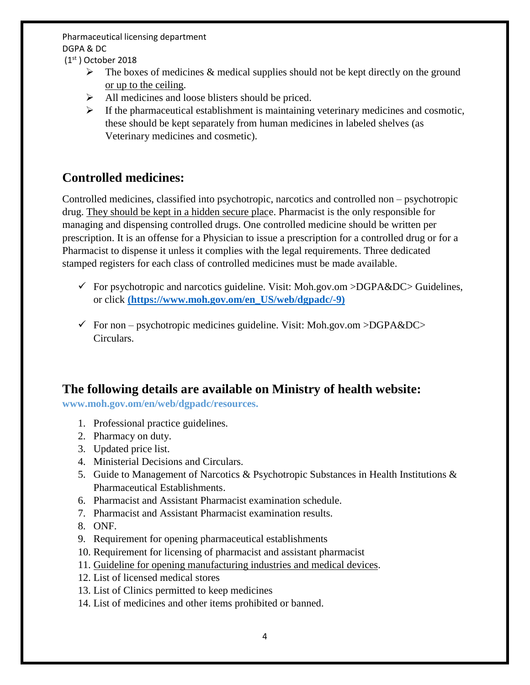Pharmaceutical licensing department DGPA & DC

(1 st ) October 2018

- $\triangleright$  The boxes of medicines & medical supplies should not be kept directly on the ground or up to the ceiling.
- $\triangleright$  All medicines and loose blisters should be priced.
- $\triangleright$  If the pharmaceutical establishment is maintaining veterinary medicines and cosmotic, these should be kept separately from human medicines in labeled shelves (as Veterinary medicines and cosmetic).

## **Controlled medicines:**

Controlled medicines, classified into psychotropic, narcotics and controlled non – psychotropic drug. They should be kept in a hidden secure place. Pharmacist is the only responsible for managing and dispensing controlled drugs. One controlled medicine should be written per prescription. It is an offense for a Physician to issue a prescription for a controlled drug or for a Pharmacist to dispense it unless it complies with the legal requirements. Three dedicated stamped registers for each class of controlled medicines must be made available.

- For psychotropic and narcotics guideline. Visit: Moh.gov.om  $>$ DGPA&DC $>$  Guidelines, or click **[\(https://www.moh.gov.om/en\\_US/web/dgpadc/-9\)](https://www.moh.gov.om/en_US/web/dgpadc/-9)**
- $\checkmark$  For non psychotropic medicines guideline. Visit: Moh.gov.om >DGPA&DC> Circulars.

### **The following details are available on Ministry of health website:**

**www.moh.gov.om/en/web/dgpadc/resources.**

- 1. Professional practice guidelines.
- 2. Pharmacy on duty.
- 3. Updated price list.
- 4. Ministerial Decisions and Circulars.
- 5. Guide to Management of Narcotics & Psychotropic Substances in Health Institutions & Pharmaceutical Establishments.
- 6. Pharmacist and Assistant Pharmacist examination schedule.
- 7. Pharmacist and Assistant Pharmacist examination results.
- 8. ONF.
- 9. Requirement for opening pharmaceutical establishments
- 10. Requirement for licensing of pharmacist and assistant pharmacist
- 11. Guideline for opening manufacturing industries and medical devices.
- 12. List of licensed medical stores
- 13. List of Clinics permitted to keep medicines
- 14. List of medicines and other items prohibited or banned.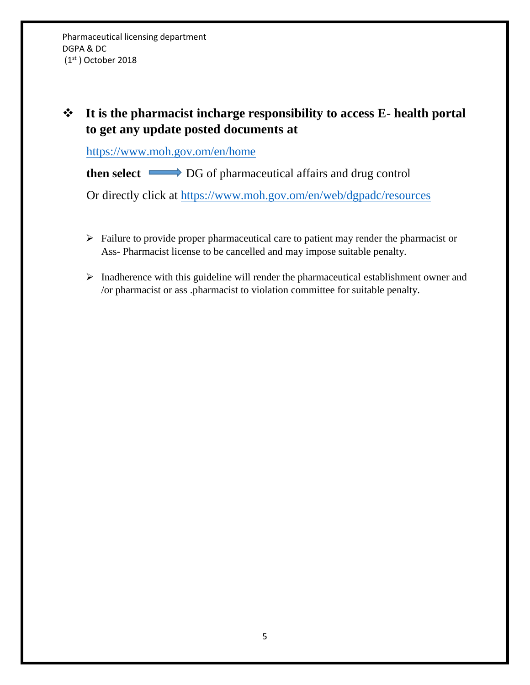Pharmaceutical licensing department DGPA & DC (1 st ) October 2018

## **It is the pharmacist incharge responsibility to access E- health portal to get any update posted documents at**

<https://www.moh.gov.om/en/home>

**then select**  $\longrightarrow$  DG of pharmaceutical affairs and drug control

Or directly click at<https://www.moh.gov.om/en/web/dgpadc/resources>

- $\triangleright$  Failure to provide proper pharmaceutical care to patient may render the pharmacist or Ass- Pharmacist license to be cancelled and may impose suitable penalty.
- $\triangleright$  Inadherence with this guideline will render the pharmaceutical establishment owner and /or pharmacist or ass .pharmacist to violation committee for suitable penalty.